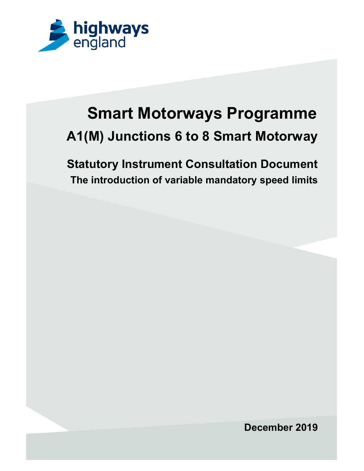

# Smart Motorways Programme A1(M) Junctions 6 to 8 Smart Motorway

Statutory Instrument Consultation Document The introduction of variable mandatory speed limits

December 2019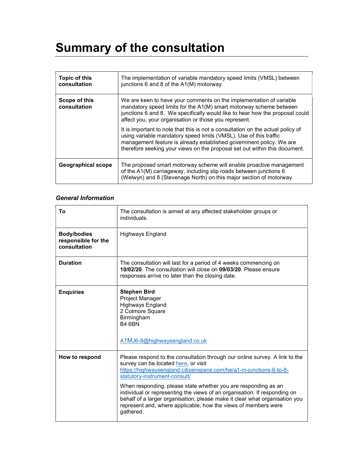## Summary of the consultation

| Topic of this<br>consultation | The implementation of variable mandatory speed limits (VMSL) between<br>junctions 6 and 8 of the A1(M) motorway.                                                                                                                                                                                          |
|-------------------------------|-----------------------------------------------------------------------------------------------------------------------------------------------------------------------------------------------------------------------------------------------------------------------------------------------------------|
| Scope of this<br>consultation | We are keen to have your comments on the implementation of variable<br>mandatory speed limits for the A1(M) smart motorway scheme between<br>junctions 6 and 8. We specifically would like to hear how the proposal could<br>affect you, your organisation or those you represent.                        |
|                               | It is important to note that this is not a consultation on the actual policy of<br>using variable mandatory speed limits (VMSL). Use of this traffic<br>management feature is already established government policy. We are<br>therefore seeking your views on the proposal set out within this document. |
| <b>Geographical scope</b>     | The proposed smart motorway scheme will enable proactive management<br>of the A1(M) carriageway, including slip roads between junctions 6<br>(Welwyn) and 8 (Stevenage North) on this major section of motorway.                                                                                          |

#### General Information

| Τo                                                        | The consultation is aimed at any affected stakeholder groups or<br>individuals.                                                                                                                                                                                                                                                                                                                                                                                                                                                         |
|-----------------------------------------------------------|-----------------------------------------------------------------------------------------------------------------------------------------------------------------------------------------------------------------------------------------------------------------------------------------------------------------------------------------------------------------------------------------------------------------------------------------------------------------------------------------------------------------------------------------|
| <b>Body/bodies</b><br>responsible for the<br>consultation | <b>Highways England</b>                                                                                                                                                                                                                                                                                                                                                                                                                                                                                                                 |
| <b>Duration</b>                                           | The consultation will last for a period of 4 weeks commencing on<br>10/02/20. The consultation will close on 09/03/20. Please ensure<br>responses arrive no later than the closing date.                                                                                                                                                                                                                                                                                                                                                |
| <b>Enquiries</b>                                          | <b>Stephen Bird</b><br>Project Manager<br><b>Highways England</b><br>2 Colmore Square<br>Birmingham<br><b>B4 6BN</b><br>A1MJ6-8@highwaysengland.co.uk                                                                                                                                                                                                                                                                                                                                                                                   |
| How to respond                                            | Please respond to the consultation through our online survey. A link to the<br>survey can be located here, or visit<br>https://highwaysengland.citizenspace.com/he/a1-m-junctions-6-to-8-<br>statutory-instrument-consult/<br>When responding, please state whether you are responding as an<br>individual or representing the views of an organisation. If responding on<br>behalf of a larger organisation, please make it clear what organisation you<br>represent and, where applicable, how the views of members were<br>gathered. |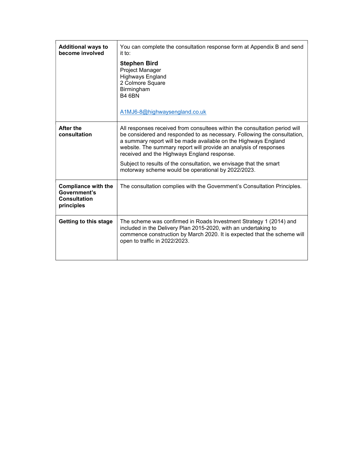| <b>Additional ways to</b><br>become involved                                    | You can complete the consultation response form at Appendix B and send<br>it to:                                                                                                                                                                                                                                                              |  |
|---------------------------------------------------------------------------------|-----------------------------------------------------------------------------------------------------------------------------------------------------------------------------------------------------------------------------------------------------------------------------------------------------------------------------------------------|--|
|                                                                                 | <b>Stephen Bird</b><br>Project Manager<br><b>Highways England</b><br>2 Colmore Square<br>Birmingham<br><b>B4 6BN</b><br>A1MJ6-8@highwaysengland.co.uk                                                                                                                                                                                         |  |
| After the<br>consultation                                                       | All responses received from consultees within the consultation period will<br>be considered and responded to as necessary. Following the consultation,<br>a summary report will be made available on the Highways England<br>website. The summary report will provide an analysis of responses<br>received and the Highways England response. |  |
|                                                                                 | Subject to results of the consultation, we envisage that the smart<br>motorway scheme would be operational by 2022/2023.                                                                                                                                                                                                                      |  |
| <b>Compliance with the</b><br>Government's<br><b>Consultation</b><br>principles | The consultation complies with the Government's Consultation Principles.                                                                                                                                                                                                                                                                      |  |
| Getting to this stage                                                           | The scheme was confirmed in Roads Investment Strategy 1 (2014) and<br>included in the Delivery Plan 2015-2020, with an undertaking to<br>commence construction by March 2020. It is expected that the scheme will<br>open to traffic in 2022/2023.                                                                                            |  |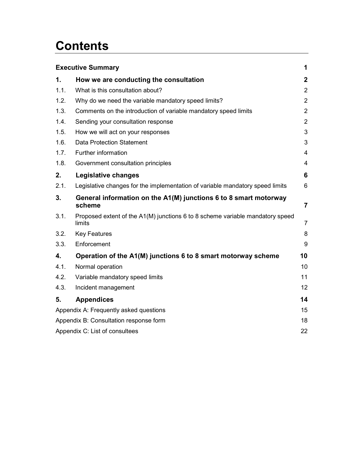## **Contents**

| 1<br><b>Executive Summary</b> |                                                                                         |                         |  |
|-------------------------------|-----------------------------------------------------------------------------------------|-------------------------|--|
| 1.                            | How we are conducting the consultation                                                  | $\mathbf{2}$            |  |
| 1.1.                          | What is this consultation about?                                                        | $\overline{2}$          |  |
| 1.2.                          | Why do we need the variable mandatory speed limits?                                     | $\overline{2}$          |  |
| 1.3.                          | Comments on the introduction of variable mandatory speed limits                         | $\overline{2}$          |  |
| 1.4.                          | Sending your consultation response                                                      | $\overline{2}$          |  |
| 1.5.                          | How we will act on your responses                                                       | 3                       |  |
| 1.6.                          | <b>Data Protection Statement</b>                                                        | 3                       |  |
| 1.7.                          | Further information                                                                     | $\overline{\mathbf{4}}$ |  |
| 1.8.                          | Government consultation principles                                                      | 4                       |  |
| 2.                            | Legislative changes                                                                     | 6                       |  |
| 2.1.                          | Legislative changes for the implementation of variable mandatory speed limits           | 6                       |  |
| 3.                            | General information on the A1(M) junctions 6 to 8 smart motorway<br>scheme              | $\overline{7}$          |  |
| 3.1.                          | Proposed extent of the A1(M) junctions 6 to 8 scheme variable mandatory speed<br>limits | $\overline{7}$          |  |
| 3.2.                          | <b>Key Features</b>                                                                     | 8                       |  |
| 3.3.                          | Enforcement                                                                             | 9                       |  |
| 4.                            | Operation of the A1(M) junctions 6 to 8 smart motorway scheme                           | 10                      |  |
| 4.1.                          | Normal operation                                                                        | 10                      |  |
| 4.2.                          | Variable mandatory speed limits                                                         | 11                      |  |
| 4.3.                          | Incident management                                                                     | $12 \overline{ }$       |  |
| 5.                            | <b>Appendices</b>                                                                       | 14                      |  |
|                               | Appendix A: Frequently asked questions<br>15                                            |                         |  |
|                               | Appendix B: Consultation response form<br>18                                            |                         |  |
|                               | Appendix C: List of consultees<br>22                                                    |                         |  |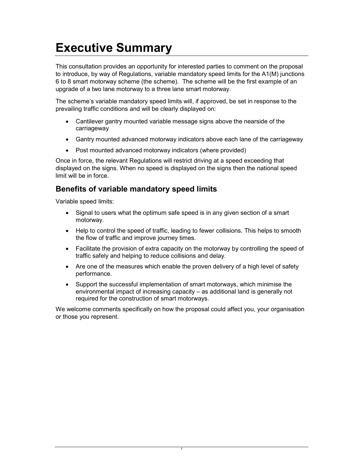## Executive Summary

This consultation provides an opportunity for interested parties to comment on the proposal to introduce, by way of Regulations, variable mandatory speed limits for the A1(M) junctions 6 to 8 smart motorway scheme (the scheme). The scheme will be the first example of an upgrade of a two lane motorway to a three lane smart motorway.

The scheme's variable mandatory speed limits will, if approved, be set in response to the prevailing traffic conditions and will be clearly displayed on:

- Cantilever gantry mounted variable message signs above the nearside of the carriageway
- Gantry mounted advanced motorway indicators above each lane of the carriageway
- Post mounted advanced motorway indicators (where provided)

Once in force, the relevant Regulations will restrict driving at a speed exceeding that displayed on the signs. When no speed is displayed on the signs then the national speed limit will be in force.

### Benefits of variable mandatory speed limits

Variable speed limits:

- Signal to users what the optimum safe speed is in any given section of a smart motorway.
- Help to control the speed of traffic, leading to fewer collisions. This helps to smooth the flow of traffic and improve journey times.
- Facilitate the provision of extra capacity on the motorway by controlling the speed of traffic safely and helping to reduce collisions and delay.
- Are one of the measures which enable the proven delivery of a high level of safety performance.
- Support the successful implementation of smart motorways, which minimise the environmental impact of increasing capacity – as additional land is generally not required for the construction of smart motorways.

We welcome comments specifically on how the proposal could affect you, your organisation or those you represent.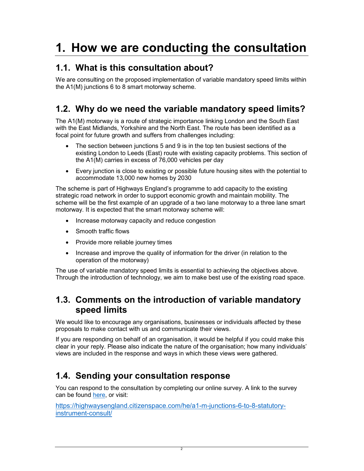## 1. How we are conducting the consultation

## 1.1. What is this consultation about?

We are consulting on the proposed implementation of variable mandatory speed limits within the A1(M) junctions 6 to 8 smart motorway scheme.

## 1.2. Why do we need the variable mandatory speed limits?

The A1(M) motorway is a route of strategic importance linking London and the South East with the East Midlands, Yorkshire and the North East. The route has been identified as a focal point for future growth and suffers from challenges including:

- The section between junctions 5 and 9 is in the top ten busiest sections of the existing London to Leeds (East) route with existing capacity problems. This section of the A1(M) carries in excess of 76,000 vehicles per day
- Every junction is close to existing or possible future housing sites with the potential to accommodate 13,000 new homes by 2030

The scheme is part of Highways England's programme to add capacity to the existing strategic road network in order to support economic growth and maintain mobility. The scheme will be the first example of an upgrade of a two lane motorway to a three lane smart motorway. It is expected that the smart motorway scheme will:

- Increase motorway capacity and reduce congestion
- Smooth traffic flows
- Provide more reliable journey times
- Increase and improve the quality of information for the driver (in relation to the operation of the motorway)

The use of variable mandatory speed limits is essential to achieving the objectives above. Through the introduction of technology, we aim to make best use of the existing road space.

## 1.3. Comments on the introduction of variable mandatory speed limits

We would like to encourage any organisations, businesses or individuals affected by these proposals to make contact with us and communicate their views.

If you are responding on behalf of an organisation, it would be helpful if you could make this clear in your reply. Please also indicate the nature of the organisation; how many individuals' views are included in the response and ways in which these views were gathered.

## 1.4. Sending your consultation response

You can respond to the consultation by completing our online survey. A link to the survey can be found here, or visit:

https://highwaysengland.citizenspace.com/he/a1-m-junctions-6-to-8-statutoryinstrument-consult/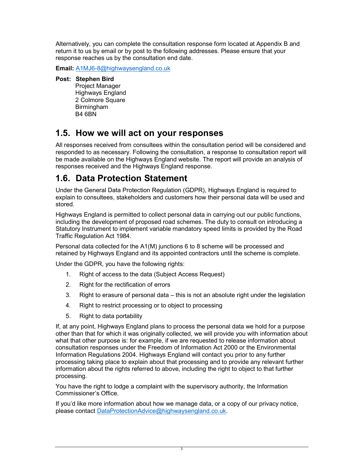Alternatively, you can complete the consultation response form located at Appendix B and return it to us by email or by post to the following addresses. Please ensure that your response reaches us by the consultation end date.

Email: A1MJ6-8@highwaysengland.co.uk

#### Post: Stephen Bird

Project Manager Highways England 2 Colmore Square Birmingham B4 6BN

### 1.5. How we will act on your responses

All responses received from consultees within the consultation period will be considered and responded to as necessary. Following the consultation, a response to consultation report will be made available on the Highways England website. The report will provide an analysis of responses received and the Highways England response.

### 1.6. Data Protection Statement

Under the General Data Protection Regulation (GDPR), Highways England is required to explain to consultees, stakeholders and customers how their personal data will be used and stored.

Highways England is permitted to collect personal data in carrying out our public functions, including the development of proposed road schemes. The duty to consult on introducing a Statutory Instrument to implement variable mandatory speed limits is provided by the Road Traffic Regulation Act 1984.

Personal data collected for the A1(M) junctions 6 to 8 scheme will be processed and retained by Highways England and its appointed contractors until the scheme is complete.

Under the GDPR, you have the following rights:

- 1. Right of access to the data (Subject Access Request)
- 2. Right for the rectification of errors
- 3. Right to erasure of personal data this is not an absolute right under the legislation
- 4. Right to restrict processing or to object to processing
- 5. Right to data portability

If, at any point, Highways England plans to process the personal data we hold for a purpose other than that for which it was originally collected, we will provide you with information about what that other purpose is: for example, if we are requested to release information about consultation responses under the Freedom of Information Act 2000 or the Environmental Information Regulations 2004. Highways England will contact you prior to any further processing taking place to explain about that processing and to provide any relevant further information about the rights referred to above, including the right to object to that further processing.

You have the right to lodge a complaint with the supervisory authority, the Information Commissioner's Office.

If you'd like more information about how we manage data, or a copy of our privacy notice, please contact DataProtectionAdvice@highwaysengland.co.uk.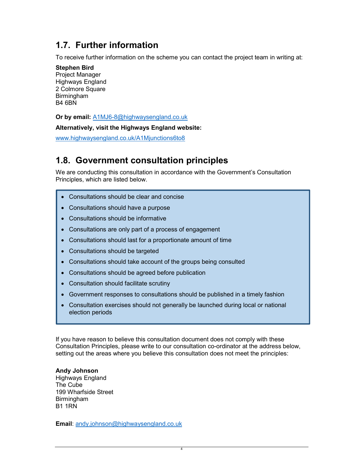## 1.7. Further information

To receive further information on the scheme you can contact the project team in writing at:

#### Stephen Bird Project Manager

Highways England 2 Colmore Square **Birmingham** B4 6BN

Or by email: A1MJ6-8@highwaysengland.co.uk

Alternatively, visit the Highways England website:

www.highwaysengland.co.uk/A1Mjunctions6to8

## 1.8. Government consultation principles

We are conducting this consultation in accordance with the Government's Consultation Principles, which are listed below.

- Consultations should be clear and concise
- Consultations should have a purpose
- Consultations should be informative
- Consultations are only part of a process of engagement
- Consultations should last for a proportionate amount of time
- Consultations should be targeted
- Consultations should take account of the groups being consulted
- Consultations should be agreed before publication
- Consultation should facilitate scrutiny
- Government responses to consultations should be published in a timely fashion
- Consultation exercises should not generally be launched during local or national election periods

If you have reason to believe this consultation document does not comply with these Consultation Principles, please write to our consultation co-ordinator at the address below, setting out the areas where you believe this consultation does not meet the principles:

Andy Johnson Highways England The Cube 199 Wharfside Street Birmingham B1 1RN

**Email:** andy.johnson@highwaysengland.co.uk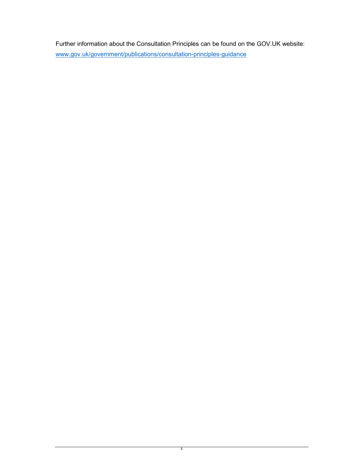Further information about the Consultation Principles can be found on the GOV.UK website: www.gov.uk/government/publications/consultation-principles-guidance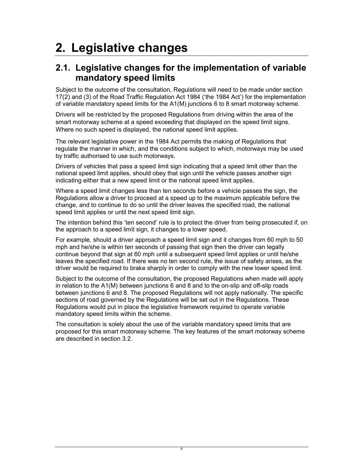## 2. Legislative changes

### 2.1. Legislative changes for the implementation of variable mandatory speed limits

Subject to the outcome of the consultation, Regulations will need to be made under section 17(2) and (3) of the Road Traffic Regulation Act 1984 ('the 1984 Act') for the implementation of variable mandatory speed limits for the A1(M) junctions 6 to 8 smart motorway scheme.

Drivers will be restricted by the proposed Regulations from driving within the area of the smart motorway scheme at a speed exceeding that displayed on the speed limit signs. Where no such speed is displayed, the national speed limit applies.

The relevant legislative power in the 1984 Act permits the making of Regulations that regulate the manner in which, and the conditions subject to which, motorways may be used by traffic authorised to use such motorways.

Drivers of vehicles that pass a speed limit sign indicating that a speed limit other than the national speed limit applies, should obey that sign until the vehicle passes another sign indicating either that a new speed limit or the national speed limit applies.

Where a speed limit changes less than ten seconds before a vehicle passes the sign, the Regulations allow a driver to proceed at a speed up to the maximum applicable before the change, and to continue to do so until the driver leaves the specified road, the national speed limit applies or until the next speed limit sign.

The intention behind this 'ten second' rule is to protect the driver from being prosecuted if, on the approach to a speed limit sign, it changes to a lower speed.

For example, should a driver approach a speed limit sign and it changes from 60 mph to 50 mph and he/she is within ten seconds of passing that sign then the driver can legally continue beyond that sign at 60 mph until a subsequent speed limit applies or until he/she leaves the specified road. If there was no ten second rule, the issue of safety arises, as the driver would be required to brake sharply in order to comply with the new lower speed limit.

Subject to the outcome of the consultation, the proposed Regulations when made will apply in relation to the A1(M) between junctions 6 and 8 and to the on-slip and off-slip roads between junctions 6 and 8. The proposed Regulations will not apply nationally. The specific sections of road governed by the Regulations will be set out in the Regulations. These Regulations would put in place the legislative framework required to operate variable mandatory speed limits within the scheme.

The consultation is solely about the use of the variable mandatory speed limits that are proposed for this smart motorway scheme. The key features of the smart motorway scheme are described in section 3.2.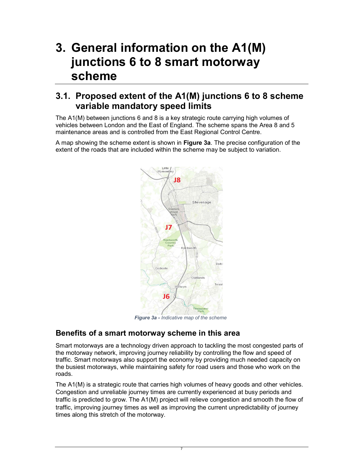## 3. General information on the A1(M) junctions 6 to 8 smart motorway scheme

### 3.1. Proposed extent of the A1(M) junctions 6 to 8 scheme variable mandatory speed limits

The A1(M) between junctions 6 and 8 is a key strategic route carrying high volumes of vehicles between London and the East of England. The scheme spans the Area 8 and 5 maintenance areas and is controlled from the East Regional Control Centre.

A map showing the scheme extent is shown in Figure 3a. The precise configuration of the extent of the roads that are included within the scheme may be subject to variation.



**Figure 3a - Indicative map of the scheme** 

### Benefits of a smart motorway scheme in this area

Smart motorways are a technology driven approach to tackling the most congested parts of the motorway network, improving journey reliability by controlling the flow and speed of traffic. Smart motorways also support the economy by providing much needed capacity on the busiest motorways, while maintaining safety for road users and those who work on the roads.

The A1(M) is a strategic route that carries high volumes of heavy goods and other vehicles. Congestion and unreliable journey times are currently experienced at busy periods and traffic is predicted to grow. The A1(M) project will relieve congestion and smooth the flow of traffic, improving journey times as well as improving the current unpredictability of journey times along this stretch of the motorway.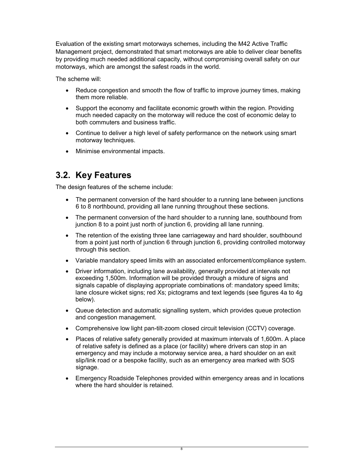Evaluation of the existing smart motorways schemes, including the M42 Active Traffic Management project, demonstrated that smart motorways are able to deliver clear benefits by providing much needed additional capacity, without compromising overall safety on our motorways, which are amongst the safest roads in the world.

The scheme will:

- Reduce congestion and smooth the flow of traffic to improve journey times, making them more reliable.
- Support the economy and facilitate economic growth within the region. Providing much needed capacity on the motorway will reduce the cost of economic delay to both commuters and business traffic.
- Continue to deliver a high level of safety performance on the network using smart motorway techniques.
- Minimise environmental impacts.

## 3.2. Key Features

The design features of the scheme include:

- The permanent conversion of the hard shoulder to a running lane between junctions 6 to 8 northbound, providing all lane running throughout these sections.
- The permanent conversion of the hard shoulder to a running lane, southbound from junction 8 to a point just north of junction 6, providing all lane running.
- The retention of the existing three lane carriageway and hard shoulder, southbound from a point just north of junction 6 through junction 6, providing controlled motorway through this section.
- Variable mandatory speed limits with an associated enforcement/compliance system.
- Driver information, including lane availability, generally provided at intervals not exceeding 1,500m. Information will be provided through a mixture of signs and signals capable of displaying appropriate combinations of: mandatory speed limits; lane closure wicket signs; red Xs; pictograms and text legends (see figures 4a to 4g below).
- Queue detection and automatic signalling system, which provides queue protection and congestion management.
- Comprehensive low light pan-tilt-zoom closed circuit television (CCTV) coverage.
- Places of relative safety generally provided at maximum intervals of 1,600m. A place of relative safety is defined as a place (or facility) where drivers can stop in an emergency and may include a motorway service area, a hard shoulder on an exit slip/link road or a bespoke facility, such as an emergency area marked with SOS signage.
- Emergency Roadside Telephones provided within emergency areas and in locations where the hard shoulder is retained.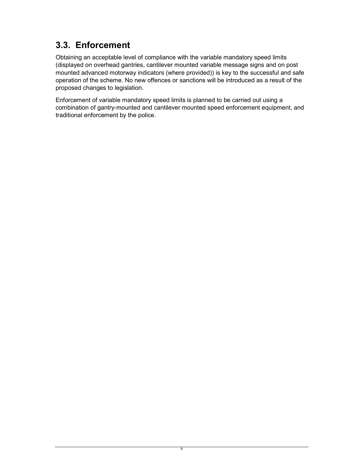## 3.3. Enforcement

Obtaining an acceptable level of compliance with the variable mandatory speed limits (displayed on overhead gantries, cantilever mounted variable message signs and on post mounted advanced motorway indicators (where provided)) is key to the successful and safe operation of the scheme. No new offences or sanctions will be introduced as a result of the proposed changes to legislation.

Enforcement of variable mandatory speed limits is planned to be carried out using a combination of gantry-mounted and cantilever mounted speed enforcement equipment, and traditional enforcement by the police.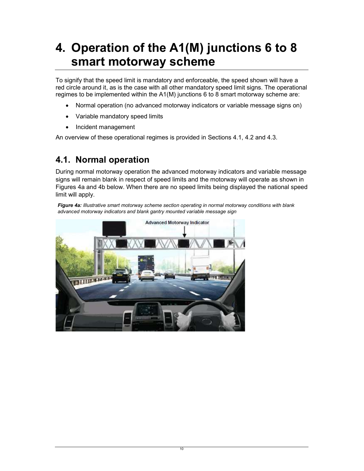## 4. Operation of the A1(M) junctions 6 to 8 smart motorway scheme

To signify that the speed limit is mandatory and enforceable, the speed shown will have a red circle around it, as is the case with all other mandatory speed limit signs. The operational regimes to be implemented within the A1(M) junctions 6 to 8 smart motorway scheme are:

- Normal operation (no advanced motorway indicators or variable message signs on)
- Variable mandatory speed limits
- Incident management

An overview of these operational regimes is provided in Sections 4.1, 4.2 and 4.3.

## 4.1. Normal operation

During normal motorway operation the advanced motorway indicators and variable message signs will remain blank in respect of speed limits and the motorway will operate as shown in Figures 4a and 4b below. When there are no speed limits being displayed the national speed limit will apply.

Figure 4a: Illustrative smart motorway scheme section operating in normal motorway conditions with blank advanced motorway indicators and blank gantry mounted variable message sign

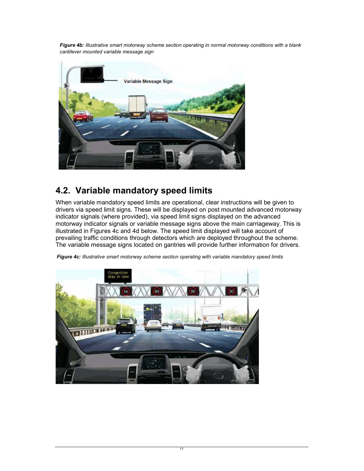Figure 4b: Illustrative smart motorway scheme section operating in normal motorway conditions with a blank cantilever mounted variable message sign



## 4.2. Variable mandatory speed limits

When variable mandatory speed limits are operational, clear instructions will be given to drivers via speed limit signs. These will be displayed on post mounted advanced motorway indicator signals (where provided), via speed limit signs displayed on the advanced motorway indicator signals or variable message signs above the main carriageway. This is illustrated in Figures 4c and 4d below. The speed limit displayed will take account of prevailing traffic conditions through detectors which are deployed throughout the scheme. The variable message signs located on gantries will provide further information for drivers.



Figure 4c: Illustrative smart motorway scheme section operating with variable mandatory speed limits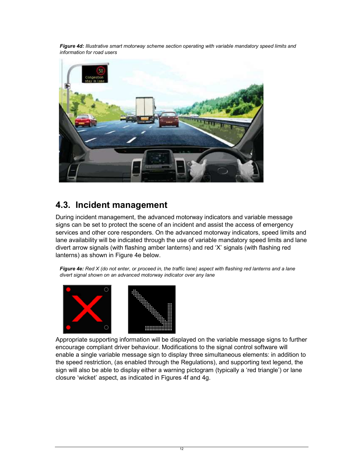Figure 4d: Illustrative smart motorway scheme section operating with variable mandatory speed limits and information for road users



## 4.3. Incident management

During incident management, the advanced motorway indicators and variable message signs can be set to protect the scene of an incident and assist the access of emergency services and other core responders. On the advanced motorway indicators, speed limits and lane availability will be indicated through the use of variable mandatory speed limits and lane divert arrow signals (with flashing amber lanterns) and red 'X' signals (with flashing red lanterns) as shown in Figure 4e below.

Figure 4e: Red X (do not enter, or proceed in, the traffic lane) aspect with flashing red lanterns and a lane divert signal shown on an advanced motorway indicator over any lane



Appropriate supporting information will be displayed on the variable message signs to further encourage compliant driver behaviour. Modifications to the signal control software will enable a single variable message sign to display three simultaneous elements: in addition to the speed restriction, (as enabled through the Regulations), and supporting text legend, the sign will also be able to display either a warning pictogram (typically a 'red triangle') or lane closure 'wicket' aspect, as indicated in Figures 4f and 4g.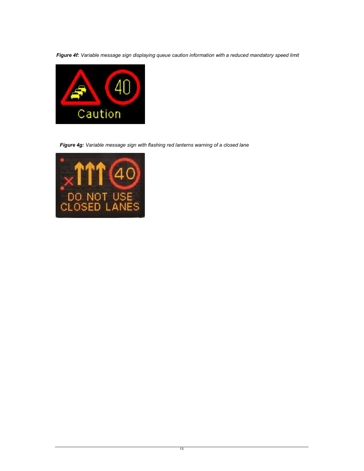Figure 4f: Variable message sign displaying queue caution information with a reduced mandatory speed limit



Figure 4g: Variable message sign with flashing red lanterns warning of a closed lane

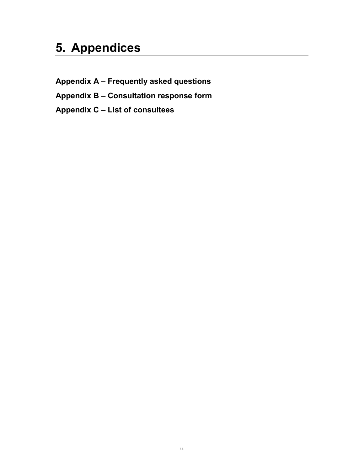## 5. Appendices

Appendix A – Frequently asked questions Appendix B – Consultation response form Appendix C – List of consultees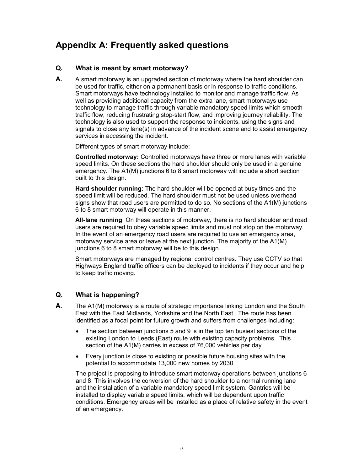## Appendix A: Frequently asked questions

#### Q. What is meant by smart motorway?

**A.** A smart motorway is an upgraded section of motorway where the hard shoulder can be used for traffic, either on a permanent basis or in response to traffic conditions. Smart motorways have technology installed to monitor and manage traffic flow. As well as providing additional capacity from the extra lane, smart motorways use technology to manage traffic through variable mandatory speed limits which smooth traffic flow, reducing frustrating stop-start flow, and improving journey reliability. The technology is also used to support the response to incidents, using the signs and signals to close any lane(s) in advance of the incident scene and to assist emergency services in accessing the incident.

Different types of smart motorway include:

Controlled motorway: Controlled motorways have three or more lanes with variable speed limits. On these sections the hard shoulder should only be used in a genuine emergency. The A1(M) junctions 6 to 8 smart motorway will include a short section built to this design.

Hard shoulder running: The hard shoulder will be opened at busy times and the speed limit will be reduced. The hard shoulder must not be used unless overhead signs show that road users are permitted to do so. No sections of the A1(M) junctions 6 to 8 smart motorway will operate in this manner.

All-lane running: On these sections of motorway, there is no hard shoulder and road users are required to obey variable speed limits and must not stop on the motorway. In the event of an emergency road users are required to use an emergency area, motorway service area or leave at the next junction. The majority of the A1(M) junctions 6 to 8 smart motorway will be to this design.

Smart motorways are managed by regional control centres. They use CCTV so that Highways England traffic officers can be deployed to incidents if they occur and help to keep traffic moving.

#### Q. What is happening?

- **A.** The A1(M) motorway is a route of strategic importance linking London and the South East with the East Midlands, Yorkshire and the North East. The route has been identified as a focal point for future growth and suffers from challenges including:
	- The section between junctions 5 and 9 is in the top ten busiest sections of the existing London to Leeds (East) route with existing capacity problems. This section of the A1(M) carries in excess of 76,000 vehicles per day
	- Every junction is close to existing or possible future housing sites with the potential to accommodate 13,000 new homes by 2030

The project is proposing to introduce smart motorway operations between junctions 6 and 8. This involves the conversion of the hard shoulder to a normal running lane and the installation of a variable mandatory speed limit system. Gantries will be installed to display variable speed limits, which will be dependent upon traffic conditions. Emergency areas will be installed as a place of relative safety in the event of an emergency.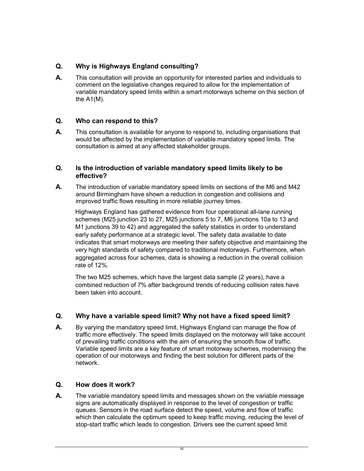### Q. Why is Highways England consulting?

**A.** This consultation will provide an opportunity for interested parties and individuals to comment on the legislative changes required to allow for the implementation of variable mandatory speed limits within a smart motorways scheme on this section of the A1(M).

#### Q. Who can respond to this?

A. This consultation is available for anyone to respond to, including organisations that would be affected by the implementation of variable mandatory speed limits. The consultation is aimed at any affected stakeholder groups.

#### Q. Is the introduction of variable mandatory speed limits likely to be effective?

A. The introduction of variable mandatory speed limits on sections of the M6 and M42 around Birmingham have shown a reduction in congestion and collisions and improved traffic flows resulting in more reliable journey times.

Highways England has gathered evidence from four operational all-lane running schemes (M25 junction 23 to 27, M25 junctions 5 to 7, M6 junctions 10a to 13 and M1 junctions 39 to 42) and aggregated the safety statistics in order to understand early safety performance at a strategic level. The safety data available to date indicates that smart motorways are meeting their safety objective and maintaining the very high standards of safety compared to traditional motorways. Furthermore, when aggregated across four schemes, data is showing a reduction in the overall collision rate of 12%.

The two M25 schemes, which have the largest data sample (2 years), have a combined reduction of 7% after background trends of reducing collision rates have been taken into account.

#### Q. Why have a variable speed limit? Why not have a fixed speed limit?

A. By varying the mandatory speed limit, Highways England can manage the flow of traffic more effectively. The speed limits displayed on the motorway will take account of prevailing traffic conditions with the aim of ensuring the smooth flow of traffic. Variable speed limits are a key feature of smart motorway schemes, modernising the operation of our motorways and finding the best solution for different parts of the network.

#### Q. How does it work?

A. The variable mandatory speed limits and messages shown on the variable message signs are automatically displayed in response to the level of congestion or traffic queues. Sensors in the road surface detect the speed, volume and flow of traffic which then calculate the optimum speed to keep traffic moving, reducing the level of stop-start traffic which leads to congestion. Drivers see the current speed limit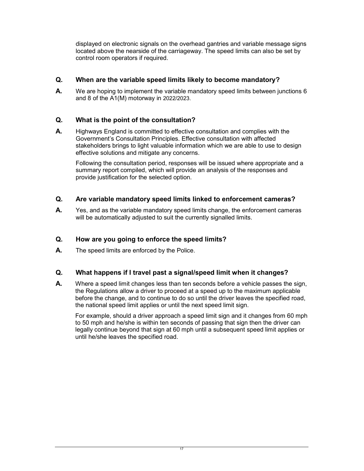displayed on electronic signals on the overhead gantries and variable message signs located above the nearside of the carriageway. The speed limits can also be set by control room operators if required.

#### Q. When are the variable speed limits likely to become mandatory?

**A.** We are hoping to implement the variable mandatory speed limits between junctions 6 and 8 of the A1(M) motorway in 2022/2023.

#### Q. What is the point of the consultation?

A. Highways England is committed to effective consultation and complies with the Government's Consultation Principles. Effective consultation with affected stakeholders brings to light valuable information which we are able to use to design effective solutions and mitigate any concerns.

Following the consultation period, responses will be issued where appropriate and a summary report compiled, which will provide an analysis of the responses and provide justification for the selected option.

#### Q. Are variable mandatory speed limits linked to enforcement cameras?

A. Yes, and as the variable mandatory speed limits change, the enforcement cameras will be automatically adjusted to suit the currently signalled limits.

#### Q. How are you going to enforce the speed limits?

A. The speed limits are enforced by the Police.

#### Q. What happens if I travel past a signal/speed limit when it changes?

A. Where a speed limit changes less than ten seconds before a vehicle passes the sign, the Regulations allow a driver to proceed at a speed up to the maximum applicable before the change, and to continue to do so until the driver leaves the specified road, the national speed limit applies or until the next speed limit sign.

For example, should a driver approach a speed limit sign and it changes from 60 mph to 50 mph and he/she is within ten seconds of passing that sign then the driver can legally continue beyond that sign at 60 mph until a subsequent speed limit applies or until he/she leaves the specified road.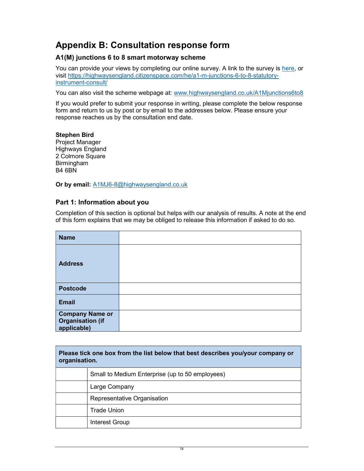## Appendix B: Consultation response form

#### A1(M) junctions 6 to 8 smart motorway scheme

You can provide your views by completing our online survey. A link to the survey is here, or visit https://highwaysengland.citizenspace.com/he/a1-m-junctions-6-to-8-statutoryinstrument-consult/

You can also visit the scheme webpage at: www.highwaysengland.co.uk/A1Mjunctions6to8

If you would prefer to submit your response in writing, please complete the below response form and return to us by post or by email to the addresses below. Please ensure your response reaches us by the consultation end date.

#### Stephen Bird

Project Manager Highways England 2 Colmore Square Birmingham B4 6BN

Or by email: A1MJ6-8@highwaysengland.co.uk

#### Part 1: Information about you

Completion of this section is optional but helps with our analysis of results. A note at the end of this form explains that we may be obliged to release this information if asked to do so.

| <b>Name</b>                                                      |  |
|------------------------------------------------------------------|--|
| <b>Address</b>                                                   |  |
| <b>Postcode</b>                                                  |  |
| <b>Email</b>                                                     |  |
| <b>Company Name or</b><br><b>Organisation (if</b><br>applicable) |  |

| Please tick one box from the list below that best describes you/your company or<br>organisation. |                                                 |  |
|--------------------------------------------------------------------------------------------------|-------------------------------------------------|--|
|                                                                                                  | Small to Medium Enterprise (up to 50 employees) |  |
|                                                                                                  | Large Company                                   |  |
|                                                                                                  | Representative Organisation                     |  |
|                                                                                                  | <b>Trade Union</b>                              |  |
|                                                                                                  | Interest Group                                  |  |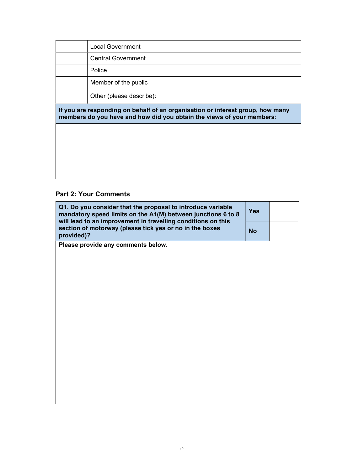|                                                                                                                                                         | Local Government          |  |
|---------------------------------------------------------------------------------------------------------------------------------------------------------|---------------------------|--|
|                                                                                                                                                         | <b>Central Government</b> |  |
|                                                                                                                                                         | Police                    |  |
|                                                                                                                                                         | Member of the public      |  |
| Other (please describe):                                                                                                                                |                           |  |
| If you are responding on behalf of an organisation or interest group, how many<br>members do you have and how did you obtain the views of your members: |                           |  |
|                                                                                                                                                         |                           |  |
|                                                                                                                                                         |                           |  |
|                                                                                                                                                         |                           |  |
|                                                                                                                                                         |                           |  |

### Part 2: Your Comments

| Q1. Do you consider that the proposal to introduce variable<br>mandatory speed limits on the A1(M) between junctions 6 to 8<br>will lead to an improvement in travelling conditions on this | <b>Yes</b> |  |
|---------------------------------------------------------------------------------------------------------------------------------------------------------------------------------------------|------------|--|
| section of motorway (please tick yes or no in the boxes<br>provided)?                                                                                                                       |            |  |
| Please provide any comments below.                                                                                                                                                          |            |  |
|                                                                                                                                                                                             |            |  |
|                                                                                                                                                                                             |            |  |
|                                                                                                                                                                                             |            |  |
|                                                                                                                                                                                             |            |  |
|                                                                                                                                                                                             |            |  |
|                                                                                                                                                                                             |            |  |
|                                                                                                                                                                                             |            |  |
|                                                                                                                                                                                             |            |  |
|                                                                                                                                                                                             |            |  |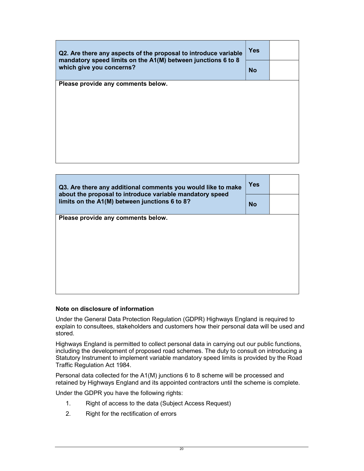| Q2. Are there any aspects of the proposal to introduce variable<br>mandatory speed limits on the A1(M) between junctions 6 to 8<br>which give you concerns? |  |  |
|-------------------------------------------------------------------------------------------------------------------------------------------------------------|--|--|
|                                                                                                                                                             |  |  |
| Please provide any comments below.                                                                                                                          |  |  |
|                                                                                                                                                             |  |  |
|                                                                                                                                                             |  |  |
|                                                                                                                                                             |  |  |
|                                                                                                                                                             |  |  |
|                                                                                                                                                             |  |  |

| Q3. Are there any additional comments you would like to make<br>about the proposal to introduce variable mandatory speed<br>limits on the A1(M) between junctions 6 to 8? |  |  |
|---------------------------------------------------------------------------------------------------------------------------------------------------------------------------|--|--|
|                                                                                                                                                                           |  |  |
| Please provide any comments below.                                                                                                                                        |  |  |
|                                                                                                                                                                           |  |  |
|                                                                                                                                                                           |  |  |
|                                                                                                                                                                           |  |  |
|                                                                                                                                                                           |  |  |
|                                                                                                                                                                           |  |  |
|                                                                                                                                                                           |  |  |

#### Note on disclosure of information

Under the General Data Protection Regulation (GDPR) Highways England is required to explain to consultees, stakeholders and customers how their personal data will be used and stored.

Highways England is permitted to collect personal data in carrying out our public functions, including the development of proposed road schemes. The duty to consult on introducing a Statutory Instrument to implement variable mandatory speed limits is provided by the Road Traffic Regulation Act 1984.

Personal data collected for the A1(M) junctions 6 to 8 scheme will be processed and retained by Highways England and its appointed contractors until the scheme is complete.

Under the GDPR you have the following rights:

- 1. Right of access to the data (Subject Access Request)
- 2. Right for the rectification of errors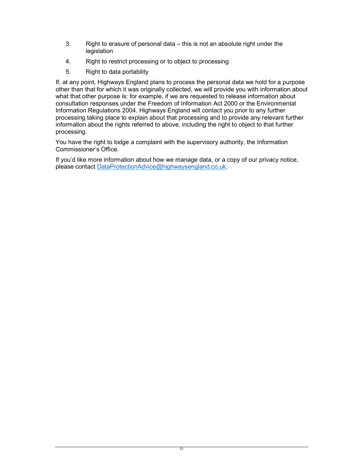- 3. Right to erasure of personal data this is not an absolute right under the legislation
- 4. Right to restrict processing or to object to processing
- 5. Right to data portability

If, at any point, Highways England plans to process the personal data we hold for a purpose other than that for which it was originally collected, we will provide you with information about what that other purpose is: for example, if we are requested to release information about consultation responses under the Freedom of Information Act 2000 or the Environmental Information Regulations 2004. Highways England will contact you prior to any further processing taking place to explain about that processing and to provide any relevant further information about the rights referred to above, including the right to object to that further processing.

You have the right to lodge a complaint with the supervisory authority, the Information Commissioner's Office.

If you'd like more information about how we manage data, or a copy of our privacy notice, please contact DataProtectionAdvice@highwaysengland.co.uk.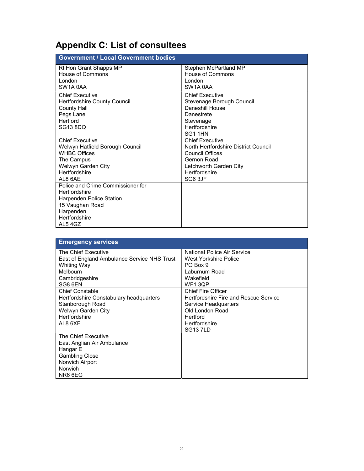## Appendix C: List of consultees

| <b>Government / Local Government bodies</b> |                                      |  |
|---------------------------------------------|--------------------------------------|--|
| Rt Hon Grant Shapps MP                      | Stephen McPartland MP                |  |
| House of Commons                            | <b>House of Commons</b>              |  |
| London                                      | London                               |  |
| SW <sub>1</sub> A 0AA                       | SW1A 0AA                             |  |
| Chief Executive                             | <b>Chief Executive</b>               |  |
| <b>Hertfordshire County Council</b>         | Stevenage Borough Council            |  |
| County Hall                                 | Daneshill House                      |  |
| Pegs Lane                                   | Danestrete                           |  |
| Hertford                                    | Stevenage                            |  |
| SG13 8DQ                                    | Hertfordshire                        |  |
|                                             | SG11HN                               |  |
| Chief Executive                             | <b>Chief Executive</b>               |  |
| Welwyn Hatfield Borough Council             | North Hertfordshire District Council |  |
| <b>WHBC Offices</b>                         | Council Offices                      |  |
| The Campus                                  | Gernon Road                          |  |
| Welwyn Garden City                          | Letchworth Garden City               |  |
| Hertfordshire                               | Hertfordshire                        |  |
| AL8 6AE                                     | SG6 3JF                              |  |
| Police and Crime Commissioner for           |                                      |  |
| Hertfordshire                               |                                      |  |
| Harpenden Police Station                    |                                      |  |
| 15 Vaughan Road                             |                                      |  |
| Harpenden                                   |                                      |  |
| Hertfordshire                               |                                      |  |
| AL54GZ                                      |                                      |  |

| <b>Emergency services</b>                   |                                       |
|---------------------------------------------|---------------------------------------|
| The Chief Executive                         | National Police Air Service           |
| East of England Ambulance Service NHS Trust | West Yorkshire Police                 |
| Whiting Way                                 | PO Box 9                              |
| Melbourn                                    | Laburnum Road                         |
| Cambridgeshire                              | Wakefield                             |
| SG8 6EN                                     | <b>WF13OP</b>                         |
| <b>Chief Constable</b>                      | <b>Chief Fire Officer</b>             |
| Hertfordshire Constabulary headquarters     | Hertfordshire Fire and Rescue Service |
| Stanborough Road                            | Service Headquarters                  |
| Welwyn Garden City                          | Old London Road                       |
| Hertfordshire                               | Hertford                              |
| AL8 6XF                                     | Hertfordshire                         |
|                                             | <b>SG137LD</b>                        |
| The Chief Executive                         |                                       |
| East Anglian Air Ambulance                  |                                       |
| Hangar E                                    |                                       |
| <b>Gambling Close</b>                       |                                       |
| Norwich Airport                             |                                       |
| <b>Norwich</b>                              |                                       |
| NR6 6EG                                     |                                       |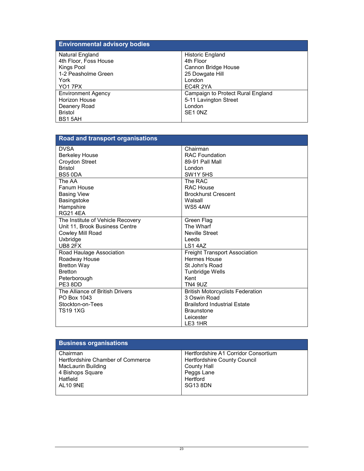| <b>Environmental advisory bodies</b> |                                   |
|--------------------------------------|-----------------------------------|
| Natural England                      | <b>Historic England</b>           |
| 4th Floor, Foss House                | 4th Floor                         |
| Kings Pool                           | Cannon Bridge House               |
| 1-2 Peasholme Green                  | 25 Dowgate Hill                   |
| York                                 | London                            |
| <b>YO17PX</b>                        | EC4R 2YA                          |
| <b>Environment Agency</b>            | Campaign to Protect Rural England |
| <b>Horizon House</b>                 | 5-11 Lavington Street             |
| Deanery Road                         | London                            |
| <b>Bristol</b>                       | SE <sub>1</sub> ON <sub>Z</sub>   |
| BS15AH                               |                                   |

| Road and transport organisations  |                                               |
|-----------------------------------|-----------------------------------------------|
| <b>DVSA</b>                       | Chairman                                      |
| <b>Berkeley House</b>             | <b>RAC Foundation</b>                         |
| Croydon Street                    | 89-91 Pall Mall                               |
| <b>Bristol</b>                    | London                                        |
| BS5 0DA                           | SW <sub>1</sub> Y <sub>5</sub> H <sub>S</sub> |
| The AA                            | The RAC                                       |
| Fanum House                       | RAC House                                     |
| <b>Basing View</b>                | <b>Brockhurst Crescent</b>                    |
| Basingstoke                       | Walsall                                       |
| Hampshire                         | <b>WS5 4AW</b>                                |
| <b>RG21 4EA</b>                   |                                               |
| The Institute of Vehicle Recovery | Green Flag                                    |
| Unit 11, Brook Business Centre    | The Wharf                                     |
| Cowley Mill Road                  | <b>Neville Street</b>                         |
| Uxbridge                          | Leeds                                         |
| UB8 2FX                           | LS1 4AZ                                       |
| Road Haulage Association          | <b>Freight Transport Association</b>          |
| Roadway House                     | Hermes House                                  |
| <b>Bretton Way</b>                | St John's Road                                |
| <b>Bretton</b>                    | <b>Tunbridge Wells</b>                        |
| Peterborough                      | Kent                                          |
| PE38DD                            | <b>TN4 9UZ</b>                                |
| The Alliance of British Drivers   | <b>British Motorcyclists Federation</b>       |
| PO Box 1043                       | 3 Oswin Road                                  |
| Stockton-on-Tees                  | <b>Brailsford Industrial Estate</b>           |
| <b>TS19 1XG</b>                   | <b>Braunstone</b>                             |
|                                   | Leicester                                     |
|                                   | LE3 1HR                                       |

| <b>Business organisations</b>     |                                      |
|-----------------------------------|--------------------------------------|
| Chairman                          | Hertfordshire A1 Corridor Consortium |
| Hertfordshire Chamber of Commerce | Hertfordshire County Council         |
| MacLaurin Building                | County Hall                          |
| 4 Bishops Square                  | Peggs Lane                           |
| Hatfield                          | Hertford                             |
| <b>AL10 9NE</b>                   | <b>SG13 8DN</b>                      |
|                                   |                                      |